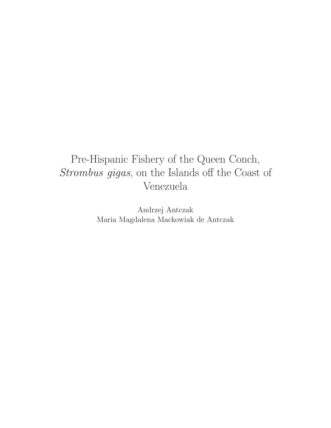# Pre-Hispanic Fishery of the Queen Conch, Strombus gigas, on the Islands off the Coast of Venezuela

Andrzej Antczak Maria Magdalena Mackowiak de Antczak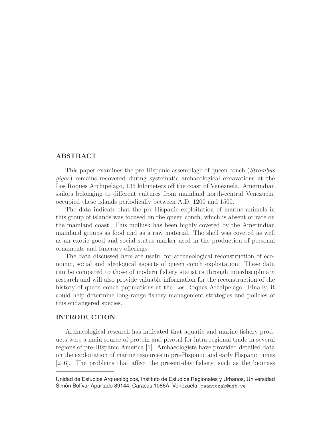# **ABSTRACT**

This paper examines the pre-Hispanic assemblage of queen conch (Strombus gigas) remains recovered during systematic archaeological excavations at the Los Roques Archipelago, 135 kilometers off the coast of Venezuela. Amerindian sailors belonging to different cultures from mainland north-central Venezuela, occupied these islands periodically between A.D. 1200 and 1500.

The data indicate that the pre-Hispanic exploitation of marine animals in this group of islands was focused on the queen conch, which is absent or rare on the mainland coast. This mollusk has been highly coveted by the Amerindian mainland groups as food and as a raw material. The shell was coveted as well as an exotic good and social status marker used in the production of personal ornaments and funerary offerings.

The data discussed here are useful for archaeological reconstruction of economic, social and ideological aspects of queen conch exploitation. These data can be compared to those of modern fishery statistics through interdisciplinary research and will also provide valuable information for the reconstruction of the history of queen conch populations at the Los Roques Archipelago. Finally, it could help determine long-range fishery management strategies and policies of this endangered species.

### **INTRODUCTION**

Archaeological research has indicated that aquatic and marine fishery products were a main source of protein and pivotal for intra-regional trade in several regions of pre-Hispanic America [1]. Archaeologists have provided detailed data on the exploitation of marine resources in pre-Hispanic and early Hispanic times [2–6]. The problems that affect the present-day fishery, such as the biomass

Unidad de Estudios Arqueológicos, Instituto de Estudios Regionales y Urbanos, Universidad Simón Bolívar Apartado 89144, Caracas 1086A, Venezuela. maantczak@usb.ve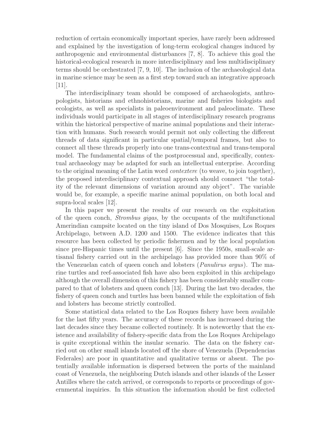reduction of certain economically important species, have rarely been addressed and explained by the investigation of long-term ecological changes induced by anthropogenic and environmental disturbances [7, 8]. To achieve this goal the historical-ecological research in more interdisciplinary and less multidisciplinary terms should be orchestrated [7, 9, 10]. The inclusion of the archaeological data in marine science may be seen as a first step toward such an integrative approach [11].

The interdisciplinary team should be composed of archaeologists, anthropologists, historians and ethnohistorians, marine and fisheries biologists and ecologists, as well as specialists in paleoenvironment and paleoclimate. These individuals would participate in all stages of interdisciplinary research programs within the historical perspective of marine animal populations and their interaction with humans. Such research would permit not only collecting the different threads of data significant in particular spatial/temporal frames, but also to connect all these threads properly into one trans-contextual and trans-temporal model. The fundamental claims of the postprocessual and, specifically, contextual archaeology may be adapted for such an intellectual enterprise. According to the original meaning of the Latin word contextere (to weave, to join together), the proposed interdisciplinary contextual approach should connect "the totality of the relevant dimensions of variation around any object". The variable would be, for example, a specific marine animal population, on both local and supra-local scales [12].

In this paper we present the results of our research on the exploitation of the queen conch, Strombus gigas, by the occupants of the multifunctional Amerindian campsite located on the tiny island of Dos Mosquises, Los Roques Archipelago, between A.D. 1200 and 1500. The evidence indicates that this resource has been collected by periodic fishermen and by the local population since pre-Hispanic times until the present [6]. Since the 1950s, small-scale artisanal fishery carried out in the archipelago has provided more than 90% of the Venezuelan catch of queen conch and lobsters (Panulirus argus). The marine turtles and reef-associated fish have also been exploited in this archipelago although the overall dimension of this fishery has been considerably smaller compared to that of lobsters and queen conch [13]. During the last two decades, the fishery of queen conch and turtles has been banned while the exploitation of fish and lobsters has become strictly controlled.

Some statistical data related to the Los Roques fishery have been available for the last fifty years. The accuracy of these records has increased during the last decades since they became collected routinely. It is noteworthy that the existence and availability of fishery-specific data from the Los Roques Archipelago is quite exceptional within the insular scenario. The data on the fishery carried out on other small islands located off the shore of Venezuela (Dependencias Federales) are poor in quantitative and qualitative terms or absent. The potentially available information is dispersed between the ports of the mainland coast of Venezuela, the neighboring Dutch islands and other islands of the Lesser Antilles where the catch arrived, or corresponds to reports or proceedings of governmental inquiries. In this situation the information should be first collected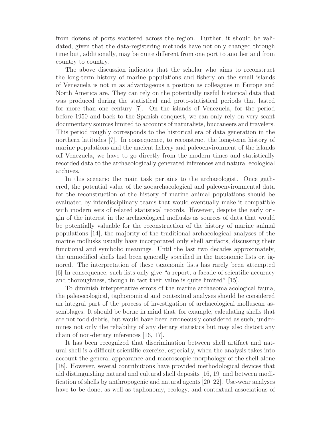from dozens of ports scattered across the region. Further, it should be validated, given that the data-registering methods have not only changed through time but, additionally, may be quite different from one port to another and from country to country.

The above discussion indicates that the scholar who aims to reconstruct the long-term history of marine populations and fishery on the small islands of Venezuela is not in as advantageous a position as colleagues in Europe and North America are. They can rely on the potentially useful historical data that was produced during the statistical and proto-statistical periods that lasted for more than one century [7]. On the islands of Venezuela, for the period before 1950 and back to the Spanish conquest, we can only rely on very scant documentary sources limited to accounts of naturalists, buccaneers and travelers. This period roughly corresponds to the historical era of data generation in the northern latitudes [7]. In consequence, to reconstruct the long-term history of marine populations and the ancient fishery and paleoenvironment of the islands off Venezuela, we have to go directly from the modern times and statistically recorded data to the archaeologically generated inferences and natural ecological archives.

In this scenario the main task pertains to the archaeologist. Once gathered, the potential value of the zooarchaeological and paleoenvironmental data for the reconstruction of the history of marine animal populations should be evaluated by interdisciplinary teams that would eventually make it compatible with modern sets of related statistical records. However, despite the early origin of the interest in the archaeological mollusks as sources of data that would be potentially valuable for the reconstruction of the history of marine animal populations [14], the majority of the traditional archaeological analyses of the marine mollusks usually have incorporated only shell artifacts, discussing their functional and symbolic meanings. Until the last two decades approximately, the unmodified shells had been generally specified in the taxonomic lists or, ignored. The interpretation of these taxonomic lists has rarely been attempted [6] In consequence, such lists only give "a report, a facade of scientific accuracy and thoroughness, though in fact their value is quite limited" [15].

To diminish interpretative errors of the marine archaeomalacological fauna, the paleoecological, taphonomical and contextual analyses should be considered an integral part of the process of investigation of archaeological molluscan assemblages. It should be borne in mind that, for example, calculating shells that are not food debris, but would have been erroneously considered as such, undermines not only the reliability of any dietary statistics but may also distort any chain of non-dietary inferences [16, 17].

It has been recognized that discrimination between shell artifact and natural shell is a difficult scientific exercise, especially, when the analysis takes into account the general appearance and macroscopic morphology of the shell alone [18]. However, several contributions have provided methodological devices that aid distinguishing natural and cultural shell deposits [16, 19] and between modification of shells by anthropogenic and natural agents [20–22]. Use-wear analyses have to be done, as well as taphonomy, ecology, and contextual associations of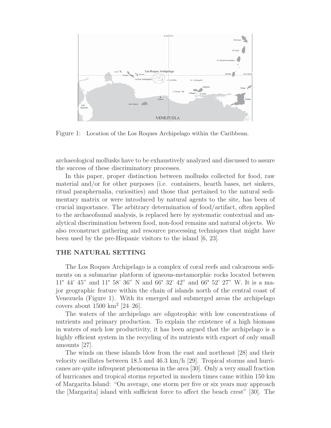

Figure 1: Location of the Los Roques Archipelago within the Caribbean.

archaeological mollusks have to be exhaustively analyzed and discussed to assure the success of these discriminatory processes.

In this paper, proper distinction between mollusks collected for food, raw material and/or for other purposes (i.e. containers, hearth bases, net sinkers, ritual paraphernalia, curiosities) and those that pertained to the natural sedimentary matrix or were introduced by natural agents to the site, has been of crucial importance. The arbitrary determination of food/artifact, often applied to the archaeofaunal analysis, is replaced here by systematic contextual and analytical discrimination between food, non-food remains and natural objects. We also reconstruct gathering and resource processing techniques that might have been used by the pre-Hispanic visitors to the island [6, 23].

# **THE NATURAL SETTING**

The Los Roques Archipelago is a complex of coral reefs and calcareous sediments on a submarine platform of igneous-metamorphic rocks located between 11° 44' 45" and 11° 58' 36" N and 66° 32' 42" and 66° 52' 27" W. It is a major geographic feature within the chain of islands north of the central coast of Venezuela (Figure 1). With its emerged and submerged areas the archipelago covers about  $1500 \text{ km}^2$  [24–26].

The waters of the archipelago are oligotrophic with low concentrations of nutrients and primary production. To explain the existence of a high biomass in waters of such low productivity, it has been argued that the archipelago is a highly efficient system in the recycling of its nutrients with export of only small amounts [27].

The winds on these islands blow from the east and northeast [28] and their velocity oscillates between 18.5 and 46.3 km/h [29]. Tropical storms and hurricanes are quite infrequent phenomena in the area [30]. Only a very small fraction of hurricanes and tropical storms reported in modern times came within 150 km of Margarita Island: "On average, one storm per five or six years may approach the [Margarita] island with sufficient force to affect the beach crest" [30]. The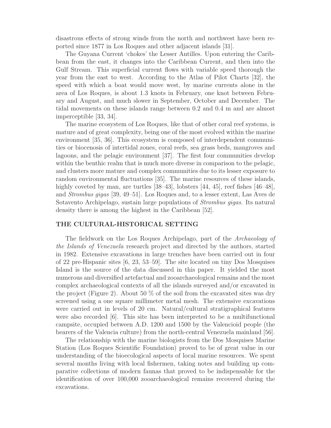disastrous effects of strong winds from the north and northwest have been reported since 1877 in Los Roques and other adjacent islands [31].

The Guyana Current 'chokes' the Lesser Antilles. Upon entering the Caribbean from the east, it changes into the Caribbean Current, and then into the Gulf Stream. This superficial current flows with variable speed thorough the year from the east to west. According to the Atlas of Pilot Charts [32], the speed with which a boat would move west, by marine currents alone in the area of Los Roques, is about 1.3 knots in February, one knot between February and August, and much slower in September, October and December. The tidal movements on these islands range between 0.2 and 0.4 m and are almost imperceptible [33, 34].

The marine ecosystem of Los Roques, like that of other coral reef systems, is mature and of great complexity, being one of the most evolved within the marine environment [35, 36]. This ecosystem is composed of interdependent communities or biocenosis of intertidal zones, coral reefs, sea grass beds, mangroves and lagoons, and the pelagic environment [37]. The first four communities develop within the benthic realm that is much more diverse in comparison to the pelagic, and clusters more mature and complex communities due to its lesser exposure to random environmental fluctuations [35]. The marine resources of these islands, highly coveted by man, are turtles [38–43], lobsters [44, 45], reef fishes [46–48], and Strombus gigas [39, 49–51]. Los Roques and, to a lesser extent, Las Aves de Sotavento Archipelago, sustain large populations of Strombus gigas. Its natural density there is among the highest in the Caribbean [52].

# **THE CULTURAL-HISTORICAL SETTING**

The fieldwork on the Los Roques Archipelago, part of the Archaeology of the Islands of Venezuela research project and directed by the authors, started in 1982. Extensive excavations in large trenches have been carried out in four of 22 pre-Hispanic sites [6, 23, 53–59]. The site located on tiny Dos Mosquises Island is the source of the data discussed in this paper. It yielded the most numerous and diversified artefactual and zooarchaeological remains and the most complex archaeological contexts of all the islands surveyed and/or excavated in the project (Figure 2). About 50 % of the soil from the excavated sites was dry screened using a one square millimeter metal mesh. The extensive excavations were carried out in levels of 20 cm. Natural/cultural stratigraphical features were also recorded [6]. This site has been interpreted to be a multifunctional campsite, occupied between A.D. 1200 and 1500 by the Valencioid people (the bearers of the Valencia culture) from the north-central Venezuela mainland [56].

The relationship with the marine biologists from the Dos Mosquises Marine Station (Los Roques Scientific Foundation) proved to be of great value in our understanding of the bioecological aspects of local marine resources. We spent several months living with local fishermen, taking notes and building up comparative collections of modern faunas that proved to be indispensable for the identification of over 100,000 zooarchaeological remains recovered during the excavations.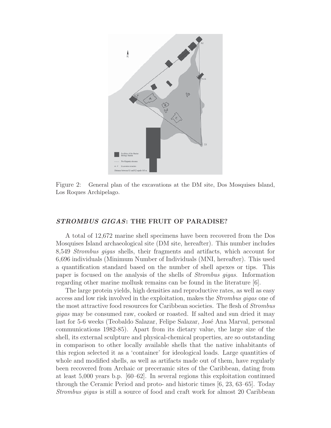

Figure 2: General plan of the excavations at the DM site, Dos Mosquises Island, Los Roques Archipelago.

# *STROMBUS GIGAS***: THE FRUIT OF PARADISE?**

A total of 12,672 marine shell specimens have been recovered from the Dos Mosquises Island archaeological site (DM site, hereafter). This number includes 8,549 Strombus gigas shells, their fragments and artifacts, which account for 6,696 individuals (Minimum Number of Individuals (MNI, hereafter). This used a quantification standard based on the number of shell apexes or tips. This paper is focused on the analysis of the shells of Strombus gigas. Information regarding other marine mollusk remains can be found in the literature [6].

The large protein yields, high densities and reproductive rates, as well as easy access and low risk involved in the exploitation, makes the Strombus gigas one of the most attractive food resources for Caribbean societies. The flesh of Strombus gigas may be consumed raw, cooked or roasted. If salted and sun dried it may last for 5-6 weeks (Teobaldo Salazar, Felipe Salazar, José Ana Marval, personal communications 1982-85). Apart from its dietary value, the large size of the shell, its external sculpture and physical-chemical properties, are so outstanding in comparison to other locally available shells that the native inhabitants of this region selected it as a 'container' for ideological loads. Large quantities of whole and modified shells, as well as artifacts made out of them, have regularly been recovered from Archaic or preceramic sites of the Caribbean, dating from at least 5,000 years b.p. [60–62]. In several regions this exploitation continued through the Ceramic Period and proto- and historic times [6, 23, 63–65]. Today Strombus gigas is still a source of food and craft work for almost 20 Caribbean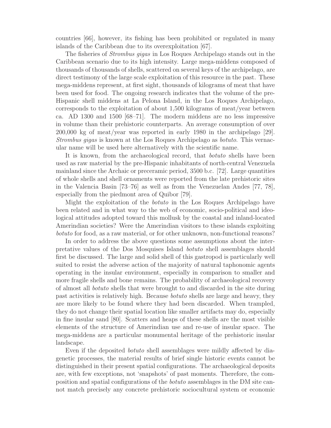countries [66], however, its fishing has been prohibited or regulated in many islands of the Caribbean due to its overexploitation [67].

The fisheries of Strombus gigas in Los Roques Archipelago stands out in the Caribbean scenario due to its high intensity. Large mega-middens composed of thousands of thousands of shells, scattered on several keys of the archipelago, are direct testimony of the large scale exploitation of this resource in the past. These mega-middens represent, at first sight, thousands of kilograms of meat that have been used for food. The ongoing research indicates that the volume of the pre-Hispanic shell middens at La Pelona Island, in the Los Roques Archipelago, corresponds to the exploitation of about 1,500 kilograms of meat/year between ca. AD 1300 and 1500 [68–71]. The modern middens are no less impressive in volume than their prehistoric counterparts. An average consumption of over 200,000 kg of meat/year was reported in early 1980 in the archipelago [29]. Strombus gigas is known at the Los Roques Archipelago as botuto. This vernacular name will be used here alternatively with the scientific name.

It is known, from the archaeological record, that botuto shells have been used as raw material by the pre-Hispanic inhabitants of north-central Venezuela mainland since the Archaic or preceramic period, 3500 b.c. [72]. Large quantities of whole shells and shell ornaments were reported from the late prehistoric sites in the Valencia Basin [73–76] as well as from the Venezuelan Andes [77, 78], especially from the piedmont area of Quibor [79].

Might the exploitation of the botuto in the Los Roques Archipelago have been related and in what way to the web of economic, socio-political and ideological attitudes adopted toward this mollusk by the coastal and inland-located Amerindian societies? Were the Amerindian visitors to these islands exploiting botuto for food, as a raw material, or for other unknown, non-functional reasons?

In order to address the above questions some assumptions about the interpretative values of the Dos Mosquises Island botuto shell assemblages should first be discussed. The large and solid shell of this gastropod is particularly well suited to resist the adverse action of the majority of natural taphonomic agents operating in the insular environment, especially in comparison to smaller and more fragile shells and bone remains. The probability of archaeological recovery of almost all botuto shells that were brought to and discarded in the site during past activities is relatively high. Because botuto shells are large and heavy, they are more likely to be found where they had been discarded. When trampled, they do not change their spatial location like smaller artifacts may do, especially in fine insular sand [80]. Scatters and heaps of these shells are the most visible elements of the structure of Amerindian use and re-use of insular space. The mega-middens are a particular monumental heritage of the prehistoric insular landscape.

Even if the deposited *botuto* shell assemblages were mildly affected by diagenetic processes, the material results of brief single historic events cannot be distinguished in their present spatial configurations. The archaeological deposits are, with few exceptions, not 'snapshots' of past moments. Therefore, the composition and spatial configurations of the botuto assemblages in the DM site cannot match precisely any concrete prehistoric sociocultural system or economic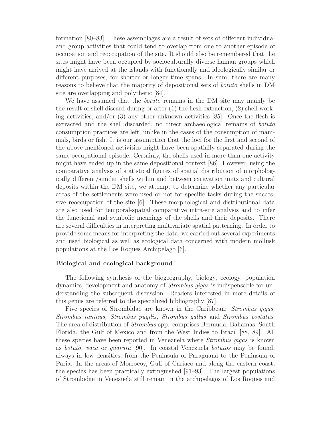formation [80–83]. These assemblages are a result of sets of different individual and group activities that could tend to overlap from one to another episode of occupation and reoccupation of the site. It should also be remembered that the sites might have been occupied by socioculturally diverse human groups which might have arrived at the islands with functionally and ideologically similar or different purposes, for shorter or longer time spans. In sum, there are many reasons to believe that the majority of depositional sets of botuto shells in DM site are overlapping and polythetic [84].

We have assumed that the *botuto* remains in the DM site may mainly be the result of shell discard during or after (1) the flesh extraction, (2) shell working activities, and/or  $(3)$  any other unknown activities  $[85]$ . Once the flesh is extracted and the shell discarded, no direct archaeological remains of botuto consumption practices are left, unlike in the cases of the consumption of mammals, birds or fish. It is our assumption that the loci for the first and second of the above mentioned activities might have been spatially separated during the same occupational episode. Certainly, the shells used in more than one activity might have ended up in the same depositional context [86]. However, using the comparative analysis of statistical figures of spatial distribution of morphologically different/similar shells within and between excavation units and cultural deposits within the DM site, we attempt to determine whether any particular areas of the settlements were used or not for specific tasks during the successive reoccupation of the site [6]. These morphological and distributional data are also used for temporal-spatial comparative intra-site analysis and to infer the functional and symbolic meanings of the shells and their deposits. There are several difficulties in interpreting multivariate spatial patterning. In order to provide some means for interpreting the data, we carried out several experiments and used biological as well as ecological data concerned with modern mollusk populations at the Los Roques Archipelago [6].

### **Biological and ecological background**

The following synthesis of the biogeography, biology, ecology, population dynamics, development and anatomy of Strombus gigas is indispensable for understanding the subsequent discussion. Readers interested in more details of this genus are referred to the specialized bibliography [87].

Five species of Strombidae are known in the Caribbean: Strombus gigas, Strombus raninus, Strombus pugilis, Strombus gallus and Strombus costatus. The area of distribution of Strombus spp. comprises Bermuda, Bahamas, South Florida, the Gulf of Mexico and from the West Indies to Brazil [88, 89]. All these species have been reported in Venezuela where Strombus gigas is known as botuto, vaca or guarura [90]. In coastal Venezuela botutos may be found, always in low densities, from the Peninsula of Paraguana<sup> $\alpha$ </sup> to the Peninsula of Paria. In the areas of Morrocoy, Gulf of Cariaco and along the eastern coast, the species has been practically extinguished [91–93]. The largest populations of Strombidae in Venezuela still remain in the archipelagos of Los Roques and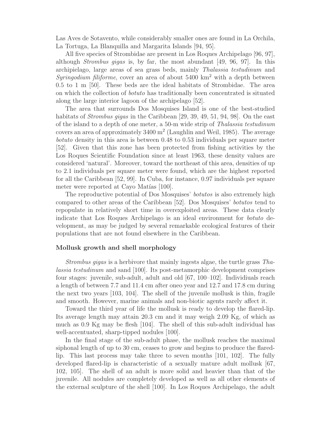Las Aves de Sotavento, while considerably smaller ones are found in La Orchila, La Tortuga, La Blanquilla and Margarita Islands [94, 95].

All five species of Strombidae are present in Los Roques Archipelago [96, 97], although Strombus gigas is, by far, the most abundant [49, 96, 97]. In this archipielago, large areas of sea grass beds, mainly Thalassia testudinum and Syringodium filiforme, cover an area of about  $5400 \text{ km}^2$  with a depth between 0.5 to 1 m [50]. These beds are the ideal habitats of Strombidae. The area on which the collection of botuto has traditionally been concentrated is situated along the large interior lagoon of the archipelago [52].

The area that surrounds Dos Mosquises Island is one of the best-studied habitats of *Strombus gigas* in the Caribbean [29, 39, 49, 51, 94, 98]. On the east of the island to a depth of one meter, a 50-m wide strip of Thalassia testudinum covers an area of approximately  $3400 \text{ m}^2$  (Laughlin and Weil, 1985). The average botuto density in this area is between 0.48 to 0.53 individuals per square meter [52]. Given that this zone has been protected from fishing activities by the Los Roques Scientific Foundation since at least 1963, these density values are considered 'natural'. Moreover, toward the northeast of this area, densities of up to 2.1 individuals per square meter were found, which are the highest reported for all the Caribbean [52, 99]. In Cuba, for instance, 0.97 individuals per square meter were reported at Cayo Matías [100].

The reproductive potential of Dos Mosquises' botutos is also extremely high compared to other areas of the Caribbean [52]. Dos Mosquises' botutos tend to repopulate in relatively short time in overexploited areas. These data clearly indicate that Los Roques Archipelago is an ideal environment for botuto development, as may be judged by several remarkable ecological features of their populations that are not found elsewhere in the Caribbean.

### **Mollusk growth and shell morphology**

Strombus gigas is a herbivore that mainly ingests algae, the turtle grass Thalassia testudinum and sand [100]. Its post-metamorphic development comprises four stages: juvenile, sub-adult, adult and old [67, 100–102]. Individiuals reach a length of between 7.7 and 11.4 cm after oneo year and 12.7 and 17.8 cm during the next two years [103, 104]. The shell of the juvenile mollusk is thin, fragile and smooth. However, marine animals and non-biotic agents rarely affect it.

Toward the third year of life the mollusk is ready to develop the flared-lip. Its average length may attain 20.3 cm and it may weigh 2.09 Kg, of which as much as 0.9 Kg may be flesh [104]. The shell of this sub-adult individual has well-accentuated, sharp-tipped nodules [100].

In the final stage of the sub-adult phase, the mollusk reaches the maximal siphonal length of up to 30 cm, ceases to grow and begins to produce the flaredlip. This last process may take three to seven months [101, 102]. The fully developed flared-lip is characteristic of a sexually mature adult mollusk [67, 102, 105]. The shell of an adult is more solid and heavier than that of the juvenile. All nodules are completely developed as well as all other elements of the external sculpture of the shell [100]. In Los Roques Archipelago, the adult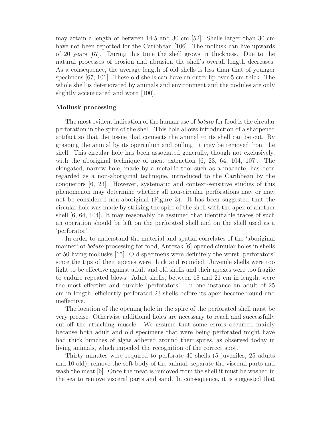may attain a length of between 14.5 and 30 cm [52]. Shells larger than 30 cm have not been reported for the Caribbean [106]. The mollusk can live upwards of 20 years [67]. During this time the shell grows in thickness. Due to the natural processes of erosion and abrasion the shell's overall length decreases. As a consequence, the average length of old shells is less than that of younger specimens [67, 101]. These old shells can have an outer lip over 5 cm thick. The whole shell is deteriorated by animals and environment and the nodules are only slightly accentuated and worn [100].

# **Mollusk processing**

The most evident indication of the human use of *botuto* for food is the circular perforation in the spire of the shell. This hole allows introduction of a sharpened artifact so that the tissue that connects the animal to its shell can be cut. By grasping the animal by its operculum and pulling, it may be removed from the shell. This circular hole has been associated generally, though not exclusively, with the aboriginal technique of meat extraction  $[6, 23, 64, 104, 107]$ . The elongated, narrow hole, made by a metallic tool such as a machete, has been regarded as a non-aboriginal technique, introduced to the Caribbean by the conquerors [6, 23]. However, systematic and context-sensitive studies of this phenomenon may determine whether all non-circular perforations may or may not be considered non-aboriginal (Figure 3). It has been suggested that the circular hole was made by striking the spire of the shell with the apex of another shell [6, 64, 104]. It may reasonably be assumed that identifiable traces of such an operation should be left on the perforated shell and on the shell used as a 'perforator'.

In order to understand the material and spatial correlates of the 'aboriginal manner' of botuto processing for food, Antczak [6] opened circular holes in shells of 50 living mollusks [65]. Old specimens were definitely the worst 'perforators' since the tips of their apexes were thick and rounded. Juvenile shells were too light to be effective against adult and old shells and their apexes were too fragile to endure repeated blows. Adult shells, between 18 and 21 cm in length, were the most effective and durable 'perforators'. In one instance an adult of 25 cm in length, efficiently perforated 23 shells before its apex became round and ineffective.

The location of the opening hole in the spire of the perforated shell must be very precise. Otherwise additional holes are necessary to reach and successfully cut-off the attaching muscle. We assume that some errors occurred mainly because both adult and old specimens that were being perforated might have had thick bunches of algae adhered around their spires, as observed today in living animals, which impeded the recognition of the correct spot.

Thirty minutes were required to perforate 40 shells (5 juveniles, 25 adults and 10 old), remove the soft body of the animal, separate the visceral parts and wash the meat [6]. Once the meat is removed from the shell it must be washed in the sea to remove visceral parts and sand. In consequence, it is suggested that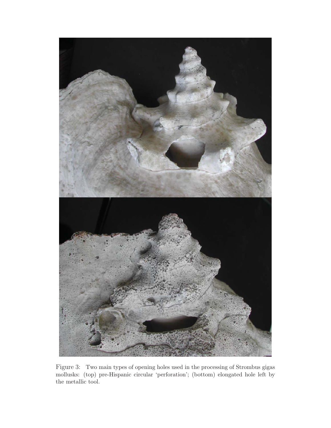

Figure 3: Two main types of opening holes used in the processing of Strombus gigas mollusks: (top) pre-Hispanic circular 'perforation'; (bottom) elongated hole left by the metallic tool.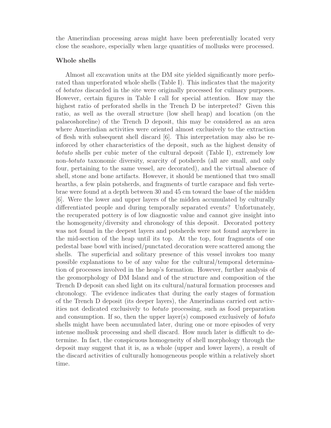the Amerindian processing areas might have been preferentially located very close the seashore, especially when large quantities of mollusks were processed.

### **Whole shells**

Almost all excavation units at the DM site yielded significantly more perforated than unperforated whole shells (Table I). This indicates that the majority of botutos discarded in the site were originally processed for culinary purposes. However, certain figures in Table I call for special attention. How may the highest ratio of perforated shells in the Trench D be interpreted? Given this ratio, as well as the overall structure (low shell heap) and location (on the palaeoshoreline) of the Trench D deposit, this may be considered as an area where Amerindian activities were oriented almost exclusively to the extraction of flesh with subsequent shell discard [6]. This interpretation may also be reinforced by other characteristics of the deposit, such as the highest density of botuto shells per cubic meter of the cultural deposit (Table I), extremely low non-botuto taxonomic diversity, scarcity of potsherds (all are small, and only four, pertaining to the same vessel, are decorated), and the virtual absence of shell, stone and bone artifacts. However, it should be mentioned that two small hearths, a few plain potsherds, and fragments of turtle carapace and fish vertebrae were found at a depth between 30 and 45 cm toward the base of the midden [6]. Were the lower and upper layers of the midden accumulated by culturally differentiated people and during temporally separated events? Unfortunately, the recuperated pottery is of low diagnostic value and cannot give insight into the homogeneity/diversity and chronology of this deposit. Decorated pottery was not found in the deepest layers and potsherds were not found anywhere in the mid-section of the heap until its top. At the top, four fragments of one pedestal base bowl with incised/punctated decoration were scattered among the shells. The superficial and solitary presence of this vessel invokes too many possible explanations to be of any value for the cultural/temporal determination of processes involved in the heap's formation. However, further analysis of the geomorphology of DM Island and of the structure and composition of the Trench D deposit can shed light on its cultural/natural formation processes and chronology. The evidence indicates that during the early stages of formation of the Trench D deposit (its deeper layers), the Amerindians carried out activities not dedicated exclusively to botuto processing, such as food preparation and consumption. If so, then the upper layer(s) composed exclusively of *botuto* shells might have been accumulated later, during one or more episodes of very intense mollusk processing and shell discard. How much later is difficult to determine. In fact, the conspicuous homogeneity of shell morphology through the deposit may suggest that it is, as a whole (upper and lower layers), a result of the discard activities of culturally homogeneous people within a relatively short time.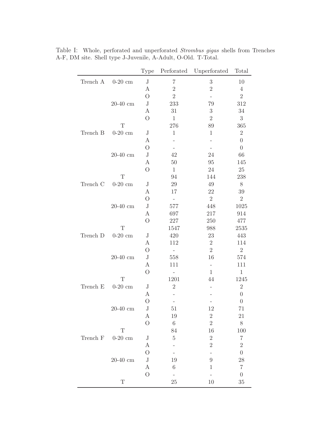|          |                            | Type             | $\operatorname{Perforated}$ | Unperforated             | Total            |
|----------|----------------------------|------------------|-----------------------------|--------------------------|------------------|
| Trench A | $0-20$ cm                  | $\bf J$          | $\overline{7}$              | $\sqrt{3}$               | 10               |
|          |                            | $\boldsymbol{A}$ | $\overline{2}$              | $\sqrt{2}$               | $\,4\,$          |
|          |                            | $\bigcirc$       | $\sqrt{2}$                  | $\overline{\phantom{0}}$ | $\sqrt{2}$       |
|          | $20-40$ cm                 | $_{\rm J}$       | 233                         | 79                       | 312              |
|          |                            | А                | $31\,$                      | $\sqrt{3}$               | 34               |
|          |                            | $\overline{O}$   | $1\,$                       | $\sqrt{2}$               | $\sqrt{3}$       |
|          | T                          |                  | 276                         | 89                       | 365              |
| Trench B | $0-20$ cm                  | $\rm J$          | $\mathbf{1}$                | $\mathbf{1}$             | $\sqrt{2}$       |
|          |                            | А                |                             |                          | $\overline{0}$   |
|          |                            | $\overline{O}$   |                             |                          | $\theta$         |
|          | $20-40\mathrm{~cm}$        | $_{\rm J}$       | 42                          | 24                       | 66               |
|          |                            | A                | $50\,$                      | 95                       | 145              |
|          |                            | $\overline{O}$   | $\mathbf{1}$                | $24\,$                   | $25\,$           |
|          | $\mathbf T$                |                  | 94                          | 144                      | 238              |
| Trench C | $0-20$ cm                  | $\rm J$          | $29\,$                      | 49                       | $8\,$            |
|          |                            | A                | 17                          | 22                       | $39\,$           |
|          |                            | $\overline{O}$   | $\overline{\phantom{0}}$    | $\sqrt{2}$               | $\sqrt{2}$       |
|          | $20\text{-}40~\mathrm{cm}$ | $_{\rm J}$       | 577                         | 448                      | 1025             |
|          |                            | А                | 697                         | 217                      | 914              |
|          |                            | $\overline{O}$   | $227\,$                     | 250                      | 477              |
|          | $\mathbf T$                |                  | 1547                        | 988                      | 2535             |
| Trench D | $0-20$ cm                  | $\rm J$          | 420                         | $23\,$                   | 443              |
|          |                            | А                | 112                         | $\sqrt{2}$               | 114              |
|          |                            | $\bigcirc$       | $\overline{\phantom{0}}$    | $\overline{2}$           | $\sqrt{2}$       |
|          | $20\text{-}40~\mathrm{cm}$ | $_{\rm J}$       | 558                         | 16                       | 574              |
|          |                            | $\boldsymbol{A}$ | 111                         | $\qquad \qquad -$        | 111              |
|          |                            | $\overline{O}$   |                             | $\mathbf{1}$             | $\,1$            |
|          | $\mathbf T$                |                  | 1201                        | 44                       | 1245             |
| Trench E | $0-20$ cm                  | $\rm J$          | $\sqrt{2}$                  | $\overline{\phantom{0}}$ | $\sqrt{2}$       |
|          |                            | A                |                             |                          | $\boldsymbol{0}$ |
|          |                            | $\overline{O}$   | $\overline{\phantom{0}}$    |                          | $\boldsymbol{0}$ |
|          | $20-40~\mathrm{cm}$        | $\rm J$          | 51                          | 12                       | 71               |
|          |                            | А                | 19                          | $\boldsymbol{2}$         | 21               |
|          |                            | $\bigcirc$       | $\,6\,$                     | $\sqrt{2}$               | $8\,$            |
|          | T                          |                  | 84                          | 16                       | 100              |
| Trench F | $0-20$ cm                  | $_{\rm J}$       | $\bf 5$                     | $\sqrt{2}$               | $\,7$            |
|          |                            | $\boldsymbol{A}$ |                             | $\sqrt{2}$               | $\sqrt{2}$       |
|          |                            | $\overline{O}$   |                             | $\overline{\phantom{0}}$ | $\overline{0}$   |
|          | $20-40$ cm                 | $\bf J$          | 19                          | $9\phantom{.0}$          | 28               |
|          |                            | $\boldsymbol{A}$ | $\,6\,$                     | $\mathbf{1}$             | $\,7$            |
|          |                            | $\overline{O}$   |                             |                          | $\boldsymbol{0}$ |
|          | $\mathbf T$                |                  | $25\,$                      | $10\,$                   | $35\,$           |

Table I: Whole, perforated and unperforated Strombus gigas shells from Trenches A-F, DM site. Shell type J-Juvenile, A-Adult, O-Old. T-Total.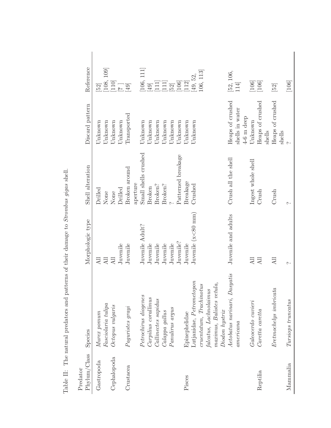| Phylum/Class<br>Predator | Species                                                     | Morphologic type            | Shell alteration                 | Discard pattern                 | Reference                                                                                                                                                                                                                                                                                                                             |
|--------------------------|-------------------------------------------------------------|-----------------------------|----------------------------------|---------------------------------|---------------------------------------------------------------------------------------------------------------------------------------------------------------------------------------------------------------------------------------------------------------------------------------------------------------------------------------|
| Gastropoda               | Fasciolaria tulipa<br>Murex pomum                           | All<br>$\overline{AB}$      | Drilled<br>None                  | Unknown<br>Unknown              | [29]                                                                                                                                                                                                                                                                                                                                  |
| Cephalopoda              | Octopus vulgaris                                            | Juvenile<br>$\overline{AB}$ | Drilled<br>None                  | Jnknown<br>Unknown              | $\begin{bmatrix} 108, 109 \\ 110 \end{bmatrix}$<br>$\begin{bmatrix} 2 \\ 1 \end{bmatrix}$                                                                                                                                                                                                                                             |
| Crustacea                | Paguristes grayi                                            | Juvenile                    | Broken around                    | Transported                     | $[49]$                                                                                                                                                                                                                                                                                                                                |
|                          | Petrochirus diogenes                                        | Juvenile Adult?             | Small shells crushed<br>aperture | Unknown                         |                                                                                                                                                                                                                                                                                                                                       |
|                          | Carpilius corallinus                                        | Juvenile                    | Broken?<br>Broken                | Unknown<br>Unknown              | $\begin{array}{c} \left[ 106, \\ \left[ 49 \right] \right. \end{array}$                                                                                                                                                                                                                                                               |
|                          | Callinectes sapidus<br>Calappa gallus                       | Juvenile<br>Juvenile        | Broken?                          | Unknown                         | $\begin{bmatrix} 1 & 1 & 1 \\ 1 & 1 & 1 \\ 1 & 0 & 6 \\ 1 & 0 & 6 \\ 1 & 0 & 6 \\ 1 & 0 & 6 \\ 1 & 0 & 6 \\ 1 & 0 & 6 \\ 1 & 0 & 6 \\ 1 & 0 & 6 \\ 1 & 0 & 6 \\ 1 & 0 & 6 \\ 1 & 0 & 6 \\ 1 & 0 & 6 \\ 1 & 0 & 6 \\ 1 & 0 & 6 \\ 1 & 0 & 6 \\ 1 & 0 & 6 \\ 1 & 0 & 6 \\ 1 & 0 & 6 \\ 1 & 0 & 6 \\ 1 & 0 & 6 \\ 1 & 0 & 6 \\ 1 & 0 & $ |
|                          | Panulirus argus                                             | Juvenile                    |                                  | Unknown                         |                                                                                                                                                                                                                                                                                                                                       |
|                          |                                                             | Juvenile?                   | Patterned breakage               | Unknown                         |                                                                                                                                                                                                                                                                                                                                       |
| Pisces                   | Epinephelidae                                               | Juvenile                    | Breakage                         | Jnknown                         | $\boxed{112}$                                                                                                                                                                                                                                                                                                                         |
|                          | Lutjanidae, $Petrometopon$                                  | Juvenile $(x<80$ mm         | Crushed                          | Unknown                         | [49, 52,                                                                                                                                                                                                                                                                                                                              |
|                          | $c$ ruentatum, Trachinotus                                  |                             |                                  |                                 | 106, 113                                                                                                                                                                                                                                                                                                                              |
|                          | falcatus, Lachnolaimus                                      |                             |                                  |                                 |                                                                                                                                                                                                                                                                                                                                       |
|                          | maximus,~Balistes~vetula,                                   |                             |                                  |                                 |                                                                                                                                                                                                                                                                                                                                       |
|                          | $Diodon$ hystrix                                            |                             |                                  |                                 |                                                                                                                                                                                                                                                                                                                                       |
|                          | Aetobatus narinari, Dasyatis                                | Juvenile and adults         | Crush all the shell              | Heaps of crushed                | [52, 106,                                                                                                                                                                                                                                                                                                                             |
|                          | americana                                                   |                             |                                  | shells in water<br>$4-6$ m deep | 114                                                                                                                                                                                                                                                                                                                                   |
|                          | Galeocerdo cuvieri                                          | Дl                          | Ingest whole shell               | Unknown                         |                                                                                                                                                                                                                                                                                                                                       |
| Reptilia                 | Caretta caretta                                             | All                         | Crush                            | Heaps of crushed<br>shells      | $\begin{bmatrix} 1.06 \\ 1.06 \end{bmatrix}$                                                                                                                                                                                                                                                                                          |
|                          | $\label{prop:pretrm} \emph{Eretmochelys } \emph{imbricata}$ | <b>All</b>                  | Crush                            | Heaps of crushed<br>shells      | $[52] \centering% \includegraphics[width=1\textwidth]{images/TrDiS-Architecture.png} \caption{The 3D (top) and the 4D (bottom) of the 3D (bottom) and the 5D (bottom) of the 3D (bottom) and the 3D (bottom) of the 3D (bottom). The 3D (bottom) is a 3D (bottom).} \label{fig:TrDiS-Architecture}$                                   |
| Mammalia                 | Tursiops truncatus                                          | $\sim$                      | $\sim$                           |                                 | $\left[106\right]$                                                                                                                                                                                                                                                                                                                    |

Table II: The natural predators and patterns of their damage to Strombus gigas shell. Table II: The natural predators and patterns of their damage to Strombus gigas shell.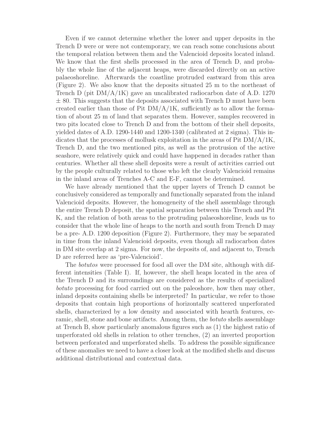Even if we cannot determine whether the lower and upper deposits in the Trench D were or were not contemporary, we can reach some conclusions about the temporal relation between them and the Valencioid deposits located inland. We know that the first shells processed in the area of Trench D, and probably the whole line of the adjacent heaps, were discarded directly on an active palaeoshoreline. Afterwards the coastline protruded eastward from this area (Figure 2). We also know that the deposits situated 25 m to the northeast of Trench D (pit  $DM/A/1K$ ) gave an uncalibrated radiocarbon date of A.D. 1270  $\pm$  80. This suggests that the deposits associated with Trench D must have been created earlier than those of Pit  $DM/A/1K$ , sufficiently as to allow the formation of about 25 m of land that separates them. However, samples recovered in two pits located close to Trench D and from the bottom of their shell deposits, yielded dates of A.D. 1290-1440 and 1200-1340 (calibrated at 2 sigma). This indicates that the processes of mollusk exploitation in the areas of Pit  $DM/A/1K$ , Trench D, and the two mentioned pits, as well as the protrusion of the active seashore, were relatively quick and could have happened in decades rather than centuries. Whether all these shell deposits were a result of activities carried out by the people culturally related to those who left the clearly Valencioid remains in the inland areas of Trenches A-C and E-F, cannot be determined.

We have already mentioned that the upper layers of Trench D cannot be conclusively considered as temporally and functionally separated from the inland Valencioid deposits. However, the homogeneity of the shell assemblage through the entire Trench D deposit, the spatial separation between this Trench and Pit K, and the relation of both areas to the protruding palaeoshoreline, leads us to consider that the whole line of heaps to the north and south from Trench D may be a pre- A.D. 1200 deposition (Figure 2). Furthermore, they may be separated in time from the inland Valencioid deposits, even though all radiocarbon dates in DM site overlap at 2 sigma. For now, the deposits of, and adjacent to, Trench D are referred here as 'pre-Valencioid'.

The botutos were processed for food all over the DM site, although with different intensities (Table I). If, however, the shell heaps located in the area of the Trench D and its surroundings are considered as the results of specialized botuto processing for food carried out on the paleoshore, how then may other, inland deposits containing shells be interpreted? In particular, we refer to those deposits that contain high proportions of horizontally scattered unperforated shells, characterized by a low density and associated with hearth features, ceramic, shell, stone and bone artifacts. Among them, the botuto shells assemblage at Trench B, show particularly anomalous figures such as (1) the highest ratio of unperforated old shells in relation to other trenches, (2) an inverted proportion between perforated and unperforated shells. To address the possible significance of these anomalies we need to have a closer look at the modified shells and discuss additional distributional and contextual data.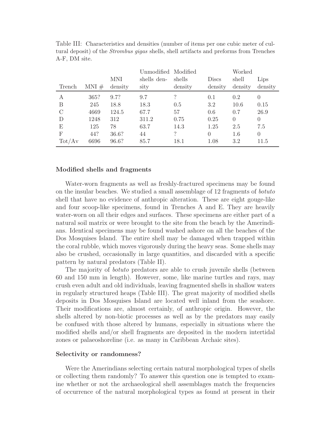|               |          |            | Unmodified Modified |          |          | Worked   |                |
|---------------|----------|------------|---------------------|----------|----------|----------|----------------|
|               |          | <b>MNI</b> | shells den-         | shells   | Discs    | shell    | Lips           |
| Trench        | $MNI \#$ | density    | sity                | density  | density  | density  | density        |
| А             | 365?     | 9.7?       | 9.7                 | $\gamma$ | 0.1      | 0.2      | $\theta$       |
| B             | 245      | 18.8       | 18.3                | 0.5      | 3.2      | 10.6     | 0.15           |
| $\mathcal{C}$ | 4669     | 124.5      | 67.7                | 57       | 0.6      | 0.7      | 26.9           |
| D             | 1248     | 312        | 311.2               | 0.75     | 0.25     | $\Omega$ | $\overline{0}$ |
| Ε             | 125      | 78         | 63.7                | 14.3     | 1.25     | 2.5      | 7.5            |
| F             | 44?      | 36.6?      | 44                  | $\gamma$ | $\Omega$ | 1.6      | $\overline{0}$ |
| Tot/Av        | 6696     | 96.6?      | 85.7                | 18.1     | 1.08     | 3.2      | 11.5           |

Table III: Characteristics and densities (number of items per one cubic meter of cultural deposit) of the Strombus gigas shells, shell artifacts and preforms from Trenches A-F, DM site.

# **Modified shells and fragments**

Water-worn fragments as well as freshly-fractured specimens may be found on the insular beaches. We studied a small assemblage of 12 fragments of botuto shell that have no evidence of anthropic alteration. These are eight gouge-like and four scoop-like specimens, found in Trenches A and E. They are heavily water-worn on all their edges and surfaces. These specimens are either part of a natural soil matrix or were brought to the site from the beach by the Amerindians. Identical specimens may be found washed ashore on all the beaches of the Dos Mosquises Island. The entire shell may be damaged when trapped within the coral rubble, which moves vigorously during the heavy seas. Some shells may also be crushed, occasionally in large quantities, and discarded with a specific pattern by natural predators (Table II).

The majority of *botuto* predators are able to crush juvenile shells (between 60 and 150 mm in length). However, some, like marine turtles and rays, may crush even adult and old individuals, leaving fragmented shells in shallow waters in regularly structured heaps (Table III). The great majority of modified shells deposits in Dos Mosquises Island are located well inland from the seashore. Their modifications are, almost certainly, of anthropic origin. However, the shells altered by non-biotic processes as well as by the predators may easily be confused with those altered by humans, especially in situations where the modified shells and/or shell fragments are deposited in the modern intertidal zones or palaeoshoreline (i.e. as many in Caribbean Archaic sites).

#### **Selectivity or randomness?**

Were the Amerindians selecting certain natural morphological types of shells or collecting them randomly? To answer this question one is tempted to examine whether or not the archaeological shell assemblages match the frequencies of occurrence of the natural morphological types as found at present in their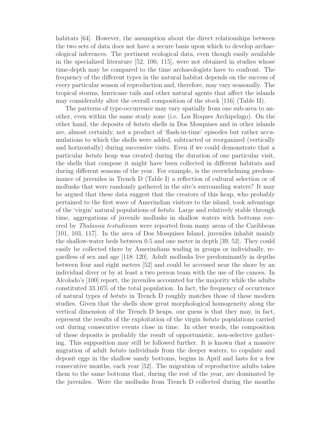habitats [64]. However, the assumption about the direct relationships between the two sets of data does not have a secure basis upon which to develop archaeological inferences. The pertinent ecological data, even though easily available in the specialized literature [52, 100, 115], were not obtained in studies whose time-depth may be compared to the time archaeologists have to confront. The frequency of the different types in the natural habitat depends on the success of every particular season of reproduction and, therefore, may vary seasonally. The tropical storms, hurricane tails and other natural agents that affect the islands may considerably alter the overall composition of the stock [116] (Table II).

The patterns of type-occurrence may vary spatially from one sub-area to another, even within the same study zone (i.e. Los Roques Archipelago). On the other hand, the deposits of botuto shells in Dos Mosquises and in other islands are, almost certainly, not a product of 'flash-in-time' episodes but rather accumulations to which the shells were added, subtracted or reorganized (vertically and horizontally) during successive visits. Even if we could demonstrate that a particular botuto heap was created during the duration of one particular visit, the shells that compose it might have been collected in different habitats and during different seasons of the year. For example, is the overwhelming predominance of juveniles in Trench D (Table I) a reflection of cultural selection or of mollusks that were randomly gathered in the site's surrounding waters? It may be argued that these data suggest that the creators of this heap, who probably pertained to the first wave of Amerindian visitors to the island, took advantage of the 'virgin' natural populations of botuto. Large and relatively stable through time, aggregations of juvenile mollusks in shallow waters with bottoms covered by Thalassia testudinum were reported from many areas of the Caribbean [101, 103, 117]. In the area of Dos Mosquises Island, juveniles inhabit mainly the shallow-water beds between 0.5 and one meter in depth [39, 52]. They could easily be collected there by Amerindians wading in groups or individually, regardless of sex and age [118–120]. Adult mollusks live predominantly in depths between four and eight meters [52] and could be accessed near the shore by an individual diver or by at least a two person team with the use of the canoes. In Alcolado's [100] report, the juveniles accounted for the majority while the adults constituted 33.16% of the total population. In fact, the frequency of occurrence of natural types of botuto in Trench D roughly matches those of these modern studies. Given that the shells show great morphological homogeneity along the vertical dimension of the Trench D heaps, our guess is that they may, in fact, represent the results of the exploitation of the virgin botuto populations carried out during consecutive events close in time. In other words, the composition of these deposits is probably the result of opportunistic, non-selective gathering. This supposition may still be followed further. It is known that a massive migration of adult botuto individuals from the deeper waters, to copulate and deposit eggs in the shallow sandy bottoms, begins in April and lasts for a few consecutive months, each year [52]. The migration of reproductive adults takes them to the same bottoms that, during the rest of the year, are dominated by the juveniles. Were the mollusks from Trench D collected during the months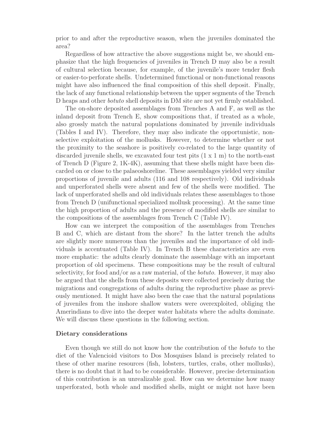prior to and after the reproductive season, when the juveniles dominated the area?

Regardless of how attractive the above suggestions might be, we should emphasize that the high frequencies of juveniles in Trench D may also be a result of cultural selection because, for example, of the juvenile's more tender flesh or easier-to-perforate shells. Undetermined functional or non-functional reasons might have also influenced the final composition of this shell deposit. Finally, the lack of any functional relationship between the upper segments of the Trench D heaps and other botuto shell deposits in DM site are not yet firmly established.

The on-shore deposited assemblages from Trenches A and F, as well as the inland deposit from Trench E, show compositions that, if treated as a whole, also grossly match the natural populations dominated by juvenile individuals (Tables I and IV). Therefore, they may also indicate the opportunistic, nonselective exploitation of the mollusks. However, to determine whether or not the proximity to the seashore is positively co-related to the large quantity of discarded juvenile shells, we excavated four test pits (1 x 1 m) to the north-east of Trench D (Figure 2, 1K-4K), assuming that these shells might have been discarded on or close to the palaeoshoreline. These assemblages yielded very similar proportions of juvenile and adults (116 and 108 respectively). Old individuals and unperforated shells were absent and few of the shells were modified. The lack of unperforated shells and old individuals relates these assemblages to those from Trench D (unifunctional specialized mollusk processing). At the same time the high proportion of adults and the presence of modified shells are similar to the compositions of the assemblages from Trench C (Table IV).

How can we interpret the composition of the assemblages from Trenches B and C, which are distant from the shore? In the latter trench the adults are slightly more numerous than the juveniles and the importance of old individuals is accentuated (Table IV). In Trench B these characteristics are even more emphatic: the adults clearly dominate the assemblage with an important proportion of old specimens. These compositions may be the result of cultural selectivity, for food and/or as a raw material, of the botuto. However, it may also be argued that the shells from these deposits were collected precisely during the migrations and congregations of adults during the reproductive phase as previously mentioned. It might have also been the case that the natural populations of juveniles from the inshore shallow waters were overexploited, obliging the Amerindians to dive into the deeper water habitats where the adults dominate. We will discuss these questions in the following section.

# **Dietary considerations**

Even though we still do not know how the contribution of the botuto to the diet of the Valencioid visitors to Dos Mosquises Island is precisely related to these of other marine resources (fish, lobsters, turtles, crabs, other mollusks), there is no doubt that it had to be considerable. However, precise determination of this contribution is an unrealizable goal. How can we determine how many unperforated, both whole and modified shells, might or might not have been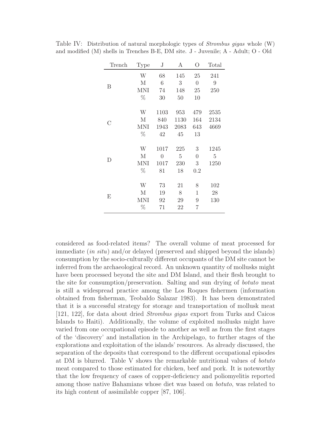| Trench | <b>Type</b>  | J              | А              | O              | Total          |
|--------|--------------|----------------|----------------|----------------|----------------|
|        | W            | 68             | 145            | 25             | 241            |
|        | M            | $\sqrt{6}$     | 3              | $\overline{0}$ | 9              |
| Β      | <b>MNI</b>   | 74             | 148            | 25             | 250            |
|        | $\%$         | 30             | 50             | 10             |                |
|        |              |                |                |                |                |
|        | W            | 1103           | 953            | 479            | 2535           |
| С      | $\mathbf{M}$ | 840            | 1130           | 164            | 2134           |
|        | <b>MNI</b>   | 1943           | 2083           | 643            | 4669           |
|        | $\%$         | 42             | 45             | 13             |                |
|        | W            | 1017           | 225            | 3              | 1245           |
|        | $\mathbf{M}$ | $\overline{0}$ | $\overline{5}$ | $\theta$       | $\overline{5}$ |
| D      | <b>MNI</b>   | 1017           | 230            | 3              | 1250           |
|        | $\%$         | 81             | 18             | 0.2            |                |
|        | W            | 73             | 21             | 8              | 102            |
|        |              |                |                |                |                |
| E      | М            | 19             | 8              | 1              | 28             |
|        | MNI          | 92             | 29             | 9              | 130            |
|        | $\%$         | 71             | 22             | 7              |                |

Table IV: Distribution of natural morphologic types of Strombus gigas whole (W) and modified (M) shells in Trenches B-E, DM site. J - Juvenile; A - Adult; O - Old

considered as food-related items? The overall volume of meat processed for immediate (in situ) and/or delayed (preserved and shipped beyond the islands) consumption by the socio-culturally different occupants of the DM site cannot be inferred from the archaeological record. An unknown quantity of mollusks might have been processed beyond the site and DM Island, and their flesh brought to the site for consumption/preservation. Salting and sun drying of botuto meat is still a widespread practice among the Los Roques fishermen (information obtained from fisherman, Teobaldo Salazar 1983). It has been demonstrated that it is a successful strategy for storage and transportation of mollusk meat [121, 122], for data about dried Strombus gigas export from Turks and Caicos Islands to Haiti). Additionally, the volume of exploited mollusks might have varied from one occupational episode to another as well as from the first stages of the 'discovery' and installation in the Archipelago, to further stages of the explorations and exploitation of the islands' resources. As already discussed, the separation of the deposits that correspond to the different occupational episodes at DM is blurred. Table V shows the remarkable nutritional values of botuto meat compared to those estimated for chicken, beef and pork. It is noteworthy that the low frequency of cases of copper-deficiency and poliomyelitis reported among those native Bahamians whose diet was based on botuto, was related to its high content of assimilable copper [87, 106].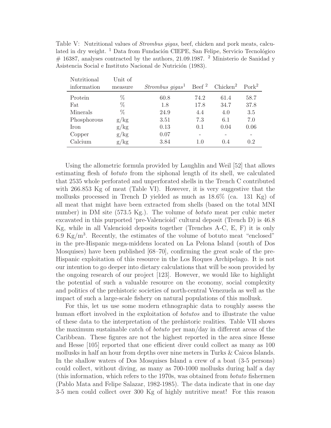Table V: Nutritional values of *Strombus gigas*, beef, chicken and pork meats, calculated in dry weight.  $^1$  Data from Fundación CIEPE, San Felipe, Servicio Tecnológico  $\#$  16387, analyses contracted by the authors, 21.09.1987. <sup>2</sup> Ministerio de Sanidad y Asistencia Social e Instituto Nacional de Nutrición (1983).

| Nutritional<br>information | Unit of<br>measure | $Strombus\ gigas1$ | Beef <sup>2</sup> | Chicken <sup>2</sup> | $\text{Pork}^2$ |
|----------------------------|--------------------|--------------------|-------------------|----------------------|-----------------|
| Protein                    | %                  | 60.8               | 74.2              | 61.4                 | 58.7            |
| Fat                        | $\%$               | 1.8                | 17.8              | 34.7                 | 37.8            |
| Minerals                   | $\%$               | 24.9               | 4.4               | 4.0                  | 3.5             |
| Phosphorous                | g/kg               | 3.51               | 7.3               | 6.1                  | 7.0             |
| <b>Iron</b>                | g/kg               | 0.13               | 0.1               | 0.04                 | 0.06            |
| Copper                     | g/kg               | 0.07               |                   |                      |                 |
| Calcium                    | g/kg               | 3.84               | 1.0               | 0.4                  | 0.2             |

Using the allometric formula provided by Laughlin and Weil [52] that allows estimating flesh of botuto from the siphonal length of its shell, we calculated that 2535 whole perforated and unperforated shells in the Trench C contributed with 266.853 Kg of meat (Table VI). However, it is very suggestive that the mollusks processed in Trench D yielded as much as 18.6% (ca. 131 Kg) of all meat that might have been extracted from shells (based on the total MNI number) in DM site (573.5 Kg.). The volume of botuto meat per cubic meter excavated in this purported 'pre-Valencioid' cultural deposit (Trench D) is 46.8 Kg, while in all Valencioid deposits together (Trenches A-C, E, F) it is only 6.9 Kg/m<sup>3</sup>. Recently, the estimates of the volume of botuto meat "enclosed" in the pre-Hispanic mega-middens located on La Pelona Island (south of Dos Mosquises) have been published [68–70], confirming the great scale of the pre-Hispanic exploitation of this resource in the Los Roques Archipelago. It is not our intention to go deeper into dietary calculations that will be soon provided by the ongoing research of our project [123]. However, we would like to highlight the potential of such a valuable resource on the economy, social complexity and politics of the prehistoric societies of north-central Venezuela as well as the impact of such a large-scale fishery on natural populations of this mollusk.

For this, let us use some modern ethnographic data to roughly assess the human effort involved in the exploitation of *botutos* and to illustrate the value of these data to the interpretation of the prehistoric realities. Table VII shows the maximum sustainable catch of botuto per man/day in different areas of the Caribbean. These figures are not the highest reported in the area since Hesse and Hesse [105] reported that one efficient diver could collect as many as 100 mollusks in half an hour from depths over nine meters in Turks & Caicos Islands. In the shallow waters of Dos Mosquises Island a crew of a boat (3-5 persons) could collect, without diving, as many as 700-1000 mollusks during half a day (this information, which refers to the 1970s, was obtained from botuto fishermen (Pablo Mata and Felipe Salazar, 1982-1985). The data indicate that in one day 3-5 men could collect over 300 Kg of highly nutritive meat! For this reason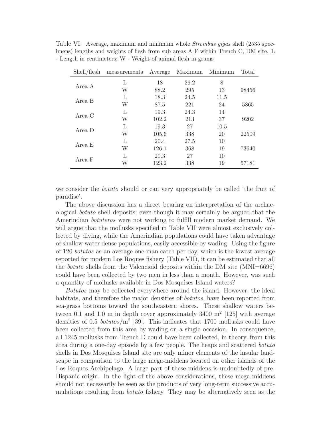| Shell/flesh | measurements | Average | Maximum | Minimum | Total |
|-------------|--------------|---------|---------|---------|-------|
|             | L            | 18      | 26.2    | 8       |       |
| Area A      | W            | 88.2    | 295     | 13      | 98456 |
| Area B      | L            | 18.3    | 24.5    | 11.5    |       |
|             | W            | 87.5    | 221     | 24      | 5865  |
| Area C      | L            | 19.3    | 24.3    | 14      |       |
|             | W            | 102.2   | 213     | 37      | 9202  |
| Area D      | L            | 19.3    | 27      | 10.5    |       |
|             | W            | 105.6   | 338     | 20      | 22509 |
| Area E      | L            | 20.4    | 27.5    | 10      |       |
|             | W            | 126.1   | 368     | 19      | 73640 |
| Area F      | L            | 20.3    | 27      | 10      |       |
|             | W            | 123.2   | 338     | 19      | 57181 |

Table VI: Average, maximum and minimum whole Strombus gigas shell (2535 specimens) lengths and weights of flesh from sub-areas A-F within Trench C, DM site. L - Length in centimeters; W - Weight of animal flesh in grams

we consider the botuto should or can very appropriately be called 'the fruit of paradise'.

The above discussion has a direct bearing on interpretation of the archaeological botuto shell deposits; even though it may certainly be argued that the Amerindian botuteros were not working to fulfill modern market demand. We will argue that the mollusks specified in Table VII were almost exclusively collected by diving, while the Amerindian populations could have taken advantage of shallow water dense populations, easily accessible by wading. Using the figure of 120 botutos as an average one-man catch per day, which is the lowest average reported for modern Los Roques fishery (Table VII), it can be estimated that all the botuto shells from the Valencioid deposits within the DM site (MNI=6696) could have been collected by two men in less than a month. However, was such a quantity of mollusks available in Dos Mosquises Island waters?

Botutos may be collected everywhere around the island. However, the ideal habitats, and therefore the major densities of *botutos*, have been reported from sea-grass bottoms toward the southeastern shores. These shallow waters between 0.1 and 1.0 m in depth cover approximately  $3400 \text{ m}^2$  [125] with average densities of 0.5 *botutos*/ $m^2$  [39]. This indicates that 1700 mollusks could have been collected from this area by wading on a single occasion. In consequence, all 1245 mollusks from Trench D could have been collected, in theory, from this area during a one-day episode by a few people. The heaps and scattered botuto shells in Dos Mosquises Island site are only minor elements of the insular landscape in comparison to the large mega-middens located on other islands of the Los Roques Archipelago. A large part of these middens is undoubtedly of pre-Hispanic origin. In the light of the above considerations, these mega-middens should not necessarily be seen as the products of very long-term successive accumulations resulting from botuto fishery. They may be alternatively seen as the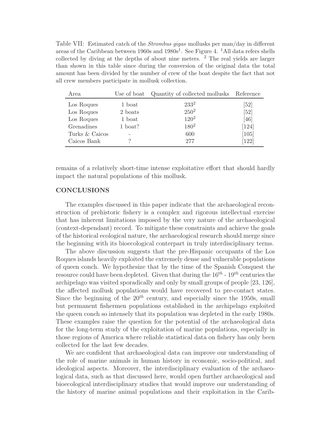Table VII: Estimated catch of the *Strombus gigas* mollusks per man/day in different areas of the Caribbean between  $1960s$  and  $1980s<sup>1</sup>$ . See Figure 4. <sup>1</sup>All data refers shells collected by diving at the depths of about nine meters. <sup>2</sup> The real yields are larger than shown in this table since during the conversion of the original data the total amount has been divided by the number of crew of the boat despite the fact that not all crew members participate in mollusk collection.

| Area           | Use of boat | Quantity of collected mollusks Reference |         |
|----------------|-------------|------------------------------------------|---------|
| Los Roques     | 1 boat      | $233^2$                                  | [52]    |
| Los Roques     | 2 boats     | $250^2$                                  | [52]    |
| Los Roques     | 1 boat      | $120^2$                                  | [46]    |
| Grenadines     | 1 boat?     | $180^2$                                  | $[124]$ |
| Turks & Caicos |             | 600                                      | [105]   |
| Caicos Bank    |             | 277                                      | $[122]$ |

remains of a relatively short-time intense exploitative effort that should hardly impact the natural populations of this mollusk.

# **CONCLUSIONS**

The examples discussed in this paper indicate that the archaeological reconstruction of prehistoric fishery is a complex and rigorous intellectual exercise that has inherent limitations imposed by the very nature of the archaeological (context-dependant) record. To mitigate these constraints and achieve the goals of the historical ecological nature, the archaeological research should merge since the beginning with its bioecological conterpart in truly interdisciplinary terms.

The above discussion suggests that the pre-Hispanic occupants of the Los Roques islands heavily exploited the extremely dense and vulnerable populations of queen conch. We hypothesize that by the time of the Spanish Conquest the resource could have been depleted. Given that during the  $16^{th}$  -  $19^{th}$  centuries the archipelago was visited sporadically and only by small groups of people [23, 126], the affected mollusk populations would have recovered to pre-contact states. Since the beginning of the  $20^{th}$  century, and especially since the 1950s, small but permanent fishermen populations established in the archipelago exploited the queen conch so intensely that its population was depleted in the early 1980s. These examples raise the question for the potential of the archaeological data for the long-term study of the exploitation of marine populations, especially in those regions of America where reliable statistical data on fishery has only been collected for the last few decades.

We are confident that archaeological data can improve our understanding of the role of marine animals in human history in economic, socio-political, and ideological aspects. Moreover, the interdisciplinary evaluation of the archaeological data, such as that discussed here, would open further archaeological and bioecological interdisciplinary studies that would improve our understanding of the history of marine animal populations and their exploitation in the Carib-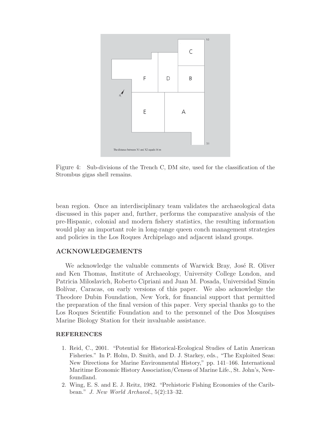

Figure 4: Sub-divisions of the Trench C, DM site, used for the classification of the Strombus gigas shell remains.

bean region. Once an interdisciplinary team validates the archaeological data discussed in this paper and, further, performs the comparative analysis of the pre-Hispanic, colonial and modern fishery statistics, the resulting information would play an important role in long-range queen conch management strategies and policies in the Los Roques Archipelago and adjacent island groups.

# **ACKNOWLEDGEMENTS**

We acknowledge the valuable comments of Warwick Bray, José R. Oliver and Ken Thomas, Institute of Archaeology, University College London, and Patricia Miloslavich, Roberto Cipriani and Juan M. Posada, Universidad Simón Bolívar, Caracas, on early versions of this paper. We also acknowledge the Theodore Dubin Foundation, New York, for financial support that permitted the preparation of the final version of this paper. Very special thanks go to the Los Roques Scientific Foundation and to the personnel of the Dos Mosquises Marine Biology Station for their invaluable assistance.

#### **REFERENCES**

- 1. Reid, C., 2001. "Potential for Historical-Ecological Studies of Latin American Fisheries." In P. Holm, D. Smith, and D. J. Starkey, eds., "The Exploited Seas: New Directions for Marine Environmental History," pp. 141–166. International Maritime Economic History Association/Census of Marine Life., St. John's, Newfoundland.
- 2. Wing, E. S. and E. J. Reitz, 1982. "Prehistoric Fishing Economies of the Caribbean." J. New World Archaeol., 5(2):13–32.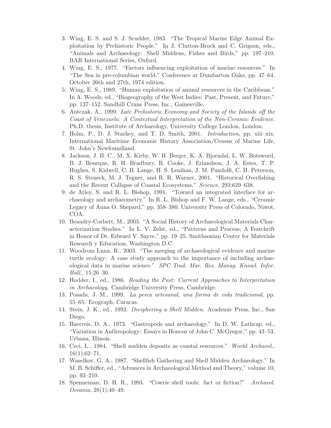- 3. Wing, E. S. and S. J. Scudder, 1983. "The Tropical Marine Edge Animal Exploitation by Prehistoric People." In J. Clutton-Brock and C. Grigson, eds., "Animals and Archaeology: Shell Middens, Fishes and Birds," pp. 197–210. BAR International Series, Oxford.
- 4. Wing, E. S., 1977. "Factors influencing exploitation of marine resources." In "The Sea in pre-columbian world," Conference at Dumbarton Oaks, pp. 47–64. October 26th and 27th, 1974 edition.
- 5. Wing, E. S., 1989. "Human exploitation of animal resources in the Caribbean." In A. Woods, ed., "Biogeography of the West Indies: Past, Present, and Future," pp. 137–152. Sandhill Crane Press, Inc., Gainesville.
- 6. Antczak, A., 1999. Late Prehistoric Economy and Society of the Islands off the Coast of Venezuela: A Contextual Interpretation of the Non-Ceramic Evidence. Ph.D. thesis, Institute of Archaeology, University College London, London.
- 7. Holm, P., D. J. Starkey, and T. D. Smith, 2001. Introduction, pp. xiii–xix. International Maritime Economic History Association/Census of Marine Life, St. John's Newfoundland.
- 8. Jackson, J. B. C., M. X. Kirby, W. H. Berger, K. A. Bjorndal, L. W. Botsword, B. J. Bourque, R. H. Bradbury, R. Cooke, J. Erlandson, J. A. Estes, T. P. Hughes, S. Kidwell, C. B. Lange, H. S. Lenihan, J. M. Pandolfi, C. H. Peterson, R. S. Steneck, M. J. Tegner, and R. R. Warner, 2001. "Historical Overfishing and the Recent Collapse of Coastal Ecosystems." Science, 293:629–638.
- 9. de Atley, S. and R. L. Bishop, 1991. "Toward an integrated interface for archaeology and archaeometry." In R. L. Bishop and F. W. Lange, eds., "Ceramic Legacy of Anna O. Shepard," pp. 358–380. University Press of Colorado, Niwot, COA.
- 10. Beaudry-Corbett, M., 2003. "A Social History of Archaeological Materials Characterization Studies." In L. V. Zelst, ed., "Patterns and Process; A Festchrift in Honor of Dr. Edward V. Sayre," pp. 19–25. Smithsonian Center for Materials Research y Education, Washington D.C.
- 11. Woodrom Luna, R., 2003. "The merging of archaeological evidence and marine turtle ecology: A case study approach to the importance of including archaeological data in marine science." SPC Trad. Mar. Res. Manag. Knowl. Infor. Bull., 15:26–30.
- 12. Hodder, I., ed., 1986. Reading the Past: Current Approaches to Interpretation in Archaeology. Cambridge University Press, Cambridge.
- 13. Posada, J. M., 1999. La pesca artesanal, una forma de vida tradicional, pp. 55–65. Ecograph, Caracas.
- 14. Stein, J. K., ed., 1992. Deciphering a Shell Midden. Academic Press, Inc., San Diego.
- 15. Baerreis, D. A., 1973. "Gastropods and archaeology." In D. W. Lathrap, ed., "Variation in Anthropology: Essays in Honour of John C. McGregor," pp. 43–53. Urbana, Illinois.
- 16. Ceci, L., 1984. "Shell midden deposits as coastal resources." World Archaeol.,  $16(1):62-71.$
- 17. Waselkov, G. A., 1987. "Shellfish Gathering and Shell Midden Archaeology." In M. B. Schiffer, ed., "Advances in Archaeological Method and Theory," volume 10, pp. 93–210.
- 18. Spenneman, D. H. R., 1993. "Cowrie shell tools: fact or fiction?" Archaeol. Oceania, 28(1):40–49.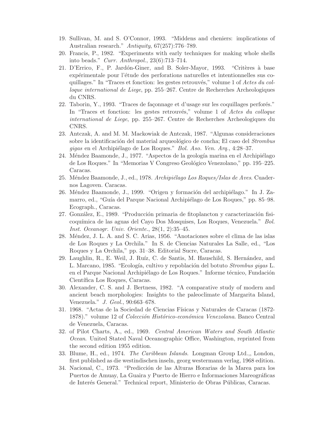- 19. Sullivan, M. and S. O'Connor, 1993. "Middens and cheniers: implications of Australian research." Antiquity, 67(257):776–789.
- 20. Francis, P., 1982. "Experiments with early techniques for making whole shells into beads." Curr. Anthropol., 23(6):713–714.
- 21. D'Errico, F., P. Jardón-Giner, and B. Soler-Mayor, 1993. "Critères à base expérimentale pour l'étude des perforations naturelles et intentionnelles sus coquillages." In "Traces et fonction: les gestes retrouvés," volume 1 of Actes du colloque international de Liege, pp. 255–267. Centre de Recherches Archeologiques du CNRS.
- 22. Taborin, Y., 1993. "Traces de façonnage et d'usage sur les coquillages perforés." In "Traces et fonction: les gestes retrouvés," volume 1 of Actes du colloque international de Liege, pp. 255–267. Centre de Recherches Archeologiques du CNRS.
- 23. Antczak, A. and M. M. Mackowiak de Antczak, 1987. "Algunas consideraciones sobre la identificación del material arqueológico de concha; El caso del Strombus gigas en el Archipiélago de Los Roques." Bol. Aso. Ven. Arq., 4:28-37.
- 24. Méndez Baamonde, J., 1977. "Aspectos de la geología marina en el Archipiélago de Los Roques." In "Memorias V Congreso Geológico Venezolano," pp. 195–225. Caracas.
- 25. Méndez Baamonde, J., ed., 1978. Archipiélago Los Roques/Islas de Aves. Cuadernos Lagoven. Caracas.
- 26. Méndez Baamonde, J., 1999. "Origen y formación del archipiélago." In J. Zamarro, ed., "Guía del Parque Nacional Archipiélago de Los Roques," pp. 85–98. Ecograph., Caracas.
- 27. González, E., 1989. "Producción primaria de fitoplancton y caracterización fisicoqu´ımica de las aguas del Cayo Dos Mosquises, Los Roques, Venezuela." Bol. Inst. Oceanogr. Univ. Oriente., 28(1, 2):35–45.
- 28. M´endez, J. L. A. and S. C. Arias, 1956. "Anotaciones sobre el clima de las islas de Los Roques y La Orchila." In S. de Ciencias Naturales La Salle, ed., "Los Roques y La Orchila," pp. 31–38. Editorial Sucre, Caracas.
- 29. Laughlin, R., E. Weil, J. Ruíz, C. de Santis, M. Hauschild, S. Hernández, and L. Marcano, 1985. "Ecología, cultivo y repoblación del botuto Strombus gigas L. en el Parque Nacional Archipiélago de Los Roques." Informe técnico, Fundación Científica Los Roques, Caracas.
- 30. Alexander, C. S. and J. Bertness, 1982. "A comparative study of modern and ancient beach morphologies: Insights to the paleoclimate of Margarita Island, Venezuela." J. Geol., 90:663–678.
- 31. 1968. "Actas de la Sociedad de Ciencias Físicas y Naturales de Caracas (1872-1878)." volume 12 of *Colección Histórico-económica Venezolana*. Banco Central de Venezuela, Caracas.
- 32. of Pilot Charts, A., ed., 1969. Central American Waters and South Atlantic Ocean. United Stated Naval Oceanographic Office, Washington, reprinted from the second edition 1955 edition.
- 33. Blume, H., ed., 1974. The Caribbean Islands. Longman Group Ltd.,, London, first published as die westindischen inseln, georg westermann verlag, 1968 edition.
- 34. Nacional, C., 1973. "Predicción de las Alturas Horarias de la Marea para los Puertos de Amuay, La Guaira y Puerto de Hierro e Informaciones Mareográficas de Interés General." Technical report, Ministerio de Obras Públicas, Caracas.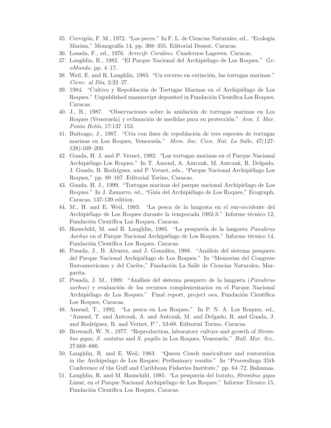- 35. Cervigón, F. M., 1972. "Los peces." In F. L. de Ciencias Naturales, ed., "Ecología Marina," Monografía 14, pp. 308-355. Editorial Dossat, Caracas.
- 36. Losada, F., ed., 1976. Arrecife Coralino. Cuadernos Lagoven. Caracas.
- 37. Laughlin, R., 1982. "El Parque Nacional del Archipiélago de Los Roques."  $Ge$  $oMundo$ , pp. 4–17.
- 38. Weil, E. and R. Laughlin, 1983. "Un recurso en extinción, las tortugas marinas." Cienc. al Día,  $2:22-27$ .
- 39. 1984. "Cultivo y Repoblación de Tortugas Marinas en el Archipiélago de Los Roques." Unpublished manuscript deposited in Fundación Científica Los Roques, Caracas.
- 40. J., B., 1987. "Observaciones sobre la anidación de tortugas marinas en Los Roques (Venezuela) y evlauación de medidas para su protección." Ann. I. Mar. Punta Betin,  $17:137-153$ .
- 41. Buitrago, J., 1987. "Cría con fines de repoblación de tres especies de tortugas marinas en Los Roques, Venezuela." Mem. Soc. Cien. Nat. La Salle, 47(127- 128):169–200.
- 42. Guada, H. J. and P. Vernet, 1992. "Las tortugas marinas en el Parque Nacional Archipi´elago Los Roques." In T. Amend, A. Antczak, M. Antczak, R. Delgado, J. Guada, B. Rodríguez, and P. Vernet, eds., "Parque Nacional Archipiélago Los Roques," pp. 89–107. Editorial Torino, Caracas.
- 43. Guada, H. J., 1999. "Tortugas marinas del parque nacional Archipiélago de Los Roques." In J. Zamarro, ed., "Guía del Archipiélago de Los Roques," Ecograph, Caracas, 137-139 edition.
- 44. M., H. and E. Weil, 1983. "La pesca de la langosta en el sur-occidente del Archipiélago de Los Roques durante la temporada 1982-3." Informe técnico 12, Fundación Científica Los Roques, Caracas.
- 45. Hauschild, M. and R. Laughlin, 1985. "La pesquería de la langosta *Panulirus* Aarhus en el Parque Nacional Archipiélago de Los Roques." Informe técnico 14, Fundación Científica Los Roques, Caracas.
- 46. Posada, J., B. Alvarez, and J. González, 1988. "Análisis del sistema pesquero del Parque Nacional Archipi´elago de Los Roques." In "Memorias del Congreso Iberoamericano y del Caribe," Fundación La Salle de Ciencias Naturales, Margarita.
- 47. Posada, J. M., 1989. "An´alisis del sistema pesquero de la langosta (Panulirus aarhus) y evaluación de los recursos complementarios en el Parque Nacional Archipiélago de Los Roques." Final report, project oea, Fundación Científica Los Roques, Caracas.
- 48. Amend, T., 1992. "La pesca en Los Roques." In P. N. A. Los Roques, ed., "Amend, T. and Antczak, A. and Antczak, M. and Delgado, R. and Guada, J. and Rodríguez, B. and Vernet, P.", 53-68. Editorial Torino, Caracas.
- 49. Brownell, W. N., 1977. "Reproduction, laboratory culture and growth of Strombus gigas, S. costatus and S. pugilis in Los Roques, Venezuela." Bull. Mar. Sci., 27:668–680.
- 50. Laughlin, R. and E. Weil, 1983. "Queen Conch mariculture and restoration in the Archipelago de Los Roques; Preliminary results." In "Proceedings 35th Conference of the Gulf and Caribbean Fisheries Institute," pp. 64–72. Bahamas.
- 51. Laughlin, R. and M. Hauschild, 1985. "La pesquería del botuto, *Strombus gigas* Linné, en el Parque Nacional Archipiélago de Los Roques." Informe Técnico 15, Fundación Científica Los Roques, Caracas.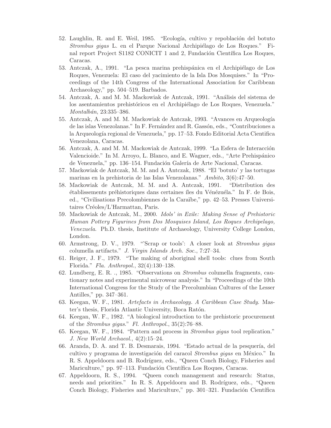- 52. Laughlin, R. and E. Weil, 1985. "Ecología, cultivo y repoblación del botuto Strombus gigas L. en el Parque Nacional Archipiélago de Los Roques." Final report Project S1182 CONICIT 1 and 2, Fundación Científica Los Roques, Caracas.
- 53. Antczak, A., 1991. "La pesca marina prehispánica en el Archipiélago de Los Roques, Venezuela: El caso del yacimiento de la Isla Dos Mosquises." In "Proceedings of the 14th Congress of the International Association for Caribbean Archaeology," pp. 504–519. Barbados.
- 54. Antczak, A. and M. M. Mackowiak de Antczak, 1991. "Análisis del sistema de los asentamientos prehistóricos en el Archipiélago de Los Roques, Venezuela." Montalbán, 23:335–386.
- 55. Antczak, A. and M. M. Mackowiak de Antczak, 1993. "Avances en Arqueología de las islas Venezolanas." In F. Fernández and R. Gassón, eds., "Contribuciones a la Arqueolog´ıa regional de Venezuela," pp. 17–53. Fondo Editorial Acta Cientifica Venezolana, Caracas.
- 56. Antczak, A. and M. M. Mackowiak de Antczak, 1999. "La Esfera de Interacción Valencioide." In M. Arroyo, L. Blanco, and E. Wagner, eds., "Arte Prehispánico" de Venezuela," pp. 136–154. Fundación Galería de Arte Nacional, Caracas.
- 57. Mackowiak de Antczak, M. M. and A. Antczak, 1988. "El 'botuto' y las tortugas marinas en la prehistoria de las Islas Venezolanas." Ambito, 3(6):47–50.
- 58. Mackowiak de Antczak, M. M. and A. Antczak, 1991. "Distribution des établissements préhistoriques dans certaines îles du Vénézuéla." In F. de Bois, ed., "Civilisations Precolombiennes de la Caraïbe," pp. 42–53. Presses Universitaires Créoles/L'Harmattan, Paris.
- 59. Mackowiak de Antczak, M., 2000. Idols' in Exile: Making Sense of Prehistoric Human Pottery Figurines from Dos Mosquises Island, Los Roques Archipelago, Venezuela. Ph.D. thesis, Institute of Archaeology, University College London, London.
- 60. Armstrong, D. V., 1979. "'Scrap or tools': A closer look at Strombus gigas columella artifacts." J. Virgin Islands Arch. Soc., 7:27–34.
- 61. Reiger, J. F., 1979. "The making of aboriginal shell tools: clues from South Florida." Fla. Anthropol., 32(4):130–138.
- 62. Lundberg, E. R. ., 1985. "Observations on Strombus columella fragments, cautionary notes and experimental microwear analysis." In "Proceedings of the 10th International Congress for the Study of the Precolumbian Cultures of the Lesser Antilles," pp. 347–361.
- 63. Keegan, W. F., 1981. Artefacts in Archaeology. A Caribbean Case Study. Master's thesis, Florida Atlantic University, Boca Ratón.
- 64. Keegan, W. F., 1982. "A biological introduction to the prehistoric procurement of the Strombus gigas." Fl. Anthropol., 35(2):76–88.
- 65. Keegan, W. F., 1984. "Pattern and process in Strombus gigas tool replication." J. New World Archaeol., 4(2):15–24.
- 66. Aranda, D. A. and T. B. Desmarais, 1994. "Estado actual de la pesquería, del cultivo y programa de investigación del caracol Strombus gigas en México." In R. S. Appeldoorn and B. Rodríguez, eds., "Queen Conch Biology, Fisheries and Mariculture," pp. 97–113. Fundación Científica Los Roques, Caracas.
- 67. Appeldoorn, R. S., 1994. "Queen conch management and research: Status, needs and priorities." In R. S. Appeldoorn and B. Rodríguez, eds., "Queen Conch Biology, Fisheries and Mariculture," pp. 301–321. Fundación Científica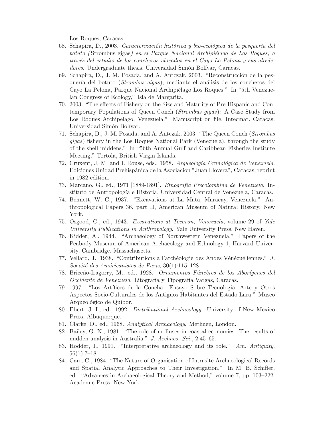Los Roques, Caracas.

- 68. Schapira, D., 2003. Caracterización histórica y bio-ecológica de la pesquería del botuto (Strombus gigas) en el Parque Nacional Archipiélago de Los Roques, a trav´es del estudio de los concheros ubicados en el Cayo La Pelona y sus alrededores. Undergraduate thesis, Universidad Simón Bolívar, Caracas.
- 69. Schapira, D., J. M. Posada, and A. Antczak, 2003. "Reconstrucción de la pesquería del botuto (*Strombus gigas*), mediante el análisis de los concheros del Cayo La Pelona, Parque Nacional Archipiélago Los Roques." In "5th Venezuelan Congress of Ecology," Isla de Margarita.
- 70. 2003. "The effects of Fishery on the Size and Maturity of Pre-Hispanic and Contemporary Populations of Queen Conch (Strombus gigas): A Case Study from Los Roques Archipelago, Venezuela." Manuscript on file, Intecmar. Caracas: Universidad Simón Bolívar.
- 71. Schapira, D., J. M. Posada, and A. Antczak, 2003. "The Queen Conch (Strombus gigas) fishery in the Los Roques National Park (Venezuela), through the study of the shell middens." In "56th Annual Gulf and Caribbean Fisheries Institute Meeting," Tortola, British Virgin Islands.
- 72. Cruxent, J. M. and I. Rouse, eds., 1958. Arqueología Cronológica de Venezuela. Ediciones Unidad Prehispánica de la Asociación "Juan Llovera", Caracas, reprint in 1982 edition.
- 73. Marcano, G., ed., 1971 [1889-1891]. Etnografía Precolombina de Venezuela. Instituto de Antropolog´ıa e Historia, Universidad Central de Venezuela, Caracas.
- 74. Bennett, W. C., 1937. "Excavations at La Mata, Maracay, Venezuela." Anthropological Papers 36, part II, American Museum of Natural History, New York.
- 75. Osgood, C., ed., 1943. Excavations at Tocorón, Venezuela, volume 29 of Yale University Publications in Anthropology. Yale University Press, New Haven.
- 76. Kidder, A., 1944. "Archaeology of Northwestern Venezuela." Papers of the Peabody Museum of American Archaeology and Ethnology 1, Harvard University, Cambridge. Massachusetts.
- 77. Vellard, J., 1938. "Contributions a l'archéologie des Andes Vénézuéliennes."  $J$ . Société des Américanistes de Paris,  $30(1):115-128$ .
- 78. Briceño-Iragorry, M., ed., 1928. Ornamentos Fúnebres de los Aborígenes del Occidente de Venezuela. Litografía y Tipografía Vargas, Caracas.
- 79. 1997. "Los Art´ıfices de la Concha: Ensayo Sobre Tecnolog´ıa, Arte y Otros Aspectos Socio-Culturales de los Antiguos Habitantes del Estado Lara." Museo Arqueológico de Quibor.
- 80. Ebert, J. I., ed., 1992. Distributional Archaeology. University of New Mexico Press, Albuquerque.
- 81. Clarke, D., ed., 1968. Analytical Archaeology. Methuen, London.
- 82. Bailey, G. N., 1981. "The role of molluscs in coastal economies: The results of midden analysis in Australia." J. Archaeo. Sci., 2:45–65.
- 83. Hodder, I., 1991. "Interpretative archaeology and its role." Am. Antiquity,  $56(1):7-18.$
- 84. Carr, C., 1984. "The Nature of Organisation of Intrasite Archaeological Records and Spatial Analytic Approaches to Their Investigation." In M. B. Schiffer, ed., "Advances in Archaeological Theory and Method," volume 7, pp. 103–222. Academic Press, New York.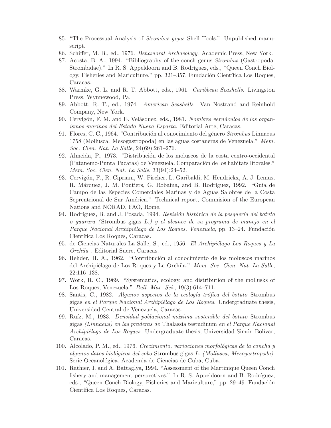- 85. "The Processual Analysis of Strombus gigas Shell Tools." Unpublished manuscript.
- 86. Schiffer, M. B., ed., 1976. Behavioral Archaeology. Academic Press, New York.
- 87. Acosta, B. A., 1994. "Bibliography of the conch genus Strombus (Gastropoda: Strombidae)." In R. S. Appeldoorn and B. Rodríguez, eds., "Queen Conch Biology, Fisheries and Mariculture," pp. 321–357. Fundación Científica Los Roques, Caracas.
- 88. Warmke, G. L. and R. T. Abbott, eds., 1961. Caribbean Seashells. Livingston Press, Wynnewood, Pa.
- 89. Abbott, R. T., ed., 1974. American Seashells. Van Nostrand and Reinhold Company, New York.
- 90. Cervigón, F. M. and E. Velásquez, eds., 1981. Nombres vernáculos de los organismos marinos del Estado Nueva Esparta. Editorial Arte, Caracas.
- 91. Flores, C. C., 1964. "Contribución al conocimiento del género Strombus Linnaeus 1758 (Mollusca: Mesogastropoda) en las aguas costaneras de Venezuela." Mem. Soc. Cien. Nat. La Salle, 24(69):261–276.
- 92. Almeida, P., 1973. "Distribución de los moluscos de la costa centro-occidental (Patanemo-Punta Tucaras) de Venezuela. Comparación de los habitats litorales." Mem. Soc. Cien. Nat. La Salle, 33(94):24–52.
- 93. Cervigón, F., R. Cipriani, W. Fischer, L. Garibaldi, M. Hendrickx, A. J. Lemus, R. Márquez, J. M. Poutiers, G. Robaina, and B. Rodríguez, 1992. "Guía de Campo de las Especies Comerciales Marinas y de Aguas Salobres de la Costa Seprentrional de Sur América." Technical report, Commision of the European Nations and NORAD, FAO, Rome.
- 94. Rodríguez, B. and J. Posada, 1994. Revisión histórica de la pesquería del botuto o guarura ( Strombus gigas L.) y el alcance de su programa de manejo en el Parque Nacional Archipiélago de Los Roques, Venezuela, pp. 13–24. Fundación Científica Los Roques, Caracas.
- 95. de Ciencias Naturales La Salle, S., ed., 1956. *El Archipiélago Los Roques y La* Orchila . Editorial Sucre, Caracas.
- 96. Rehder, H. A., 1962. "Contribución al conocimiento de los moluscos marinos del Archipiélago de Los Roques y La Orchila." Mem. Soc. Cien. Nat. La Salle, 22:116–138.
- 97. Work, R. C., 1969. "Systematics, ecology, and distribution of the mollusks of Los Roques, Venezuela." Bull. Mar. Sci., 19(3):614–711.
- 98. Santis, C., 1982. Algunos aspectos de la ecología trófica del botuto Strombus gigas en el Parque Nacional Archipiélago de Los Roques. Undergraduate thesis, Universidad Central de Venezuela, Caracas.
- 99. Ruíz, M., 1983. *Densidad poblacional máxima sostenible del botuto* Strombus gigas (Linnaeus) en las praderas de Thalassia testudinum en el Parque Nacional Archipiélago de Los Roques. Undergraduate thesis, Universidad Simón Bolívar, Caracas.
- 100. Alcolado, P. M., ed., 1976. Crecimiento, variaciones morfológicas de la concha y algunos datos biológicos del cobo Strombus gigas L. (Mollusca, Mesogastropoda). Serie Oceanológica. Academia de Ciencias de Cuba, Cuba.
- 101. Rathier, I. and A. Battaglya, 1994. "Assessment of the Martinique Queen Conch fishery and management perspectives." In R. S. Appeldoorn and B. Rodríguez, eds., "Queen Conch Biology, Fisheries and Mariculture," pp. 29–49. Fundación Científica Los Roques, Caracas.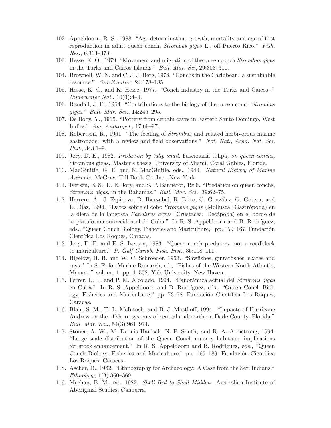- 102. Appeldoorn, R. S., 1988. "Age determination, growth, mortality and age of first reproduction in adult queen conch, Strombus gigas L., off Puerto Rico." Fish. Res., 6:363–378.
- 103. Hesse, K. O., 1979. "Movement and migration of the queen conch Strombus gigas in the Turks and Caicos Islands." Bull. Mar. Sci, 29:303–311.
- 104. Brownell, W. N. and C. J. J. Berg, 1978. "Conchs in the Caribbean: a sustainable resource?" Sea Frontier, 24:178–185.
- 105. Hesse, K. O. and K. Hesse, 1977. "Conch industry in the Turks and Caicos ." Underwater Nat., 10(3):4–9.
- 106. Randall, J. E., 1964. "Contributions to the biology of the queen conch Strombus gigas." Bull. Mar. Sci., 14:246–295.
- 107. De Booy, Y., 1915. "Pottery from certain caves in Eastern Santo Domingo, West Indies." Am. Anthropol., 17:69–97.
- 108. Robertson, R., 1961. "The feeding of Strombus and related herbivorous marine gastropods: with a review and field observations." Not. Nat., Acad. Nat. Sci. Phil., 343:1–9.
- 109. Jory, D. E., 1982. Predation by tulip snail, Fasciolaria tulipa, on queen conchs, Strombus gigas. Master's thesis, University of Miami, Coral Gables, Florida.
- 110. MacGinitie, G. E. and N. MacGinitie, eds., 1949. Natural History of Marine Animals. McGraw Hill Book Co. Inc., New York.
- 111. Iversen, E. S., D. E. Jory, and S. P. Bannerot, 1986. "Predation on queen conchs, Strombus gigas, in the Bahamas." Bull. Mar. Sci., 39:62–75.
- 112. Herrera, A., J. Espinoza, D. Ibarzabal, R. Brito, G. Gonz´alez, G. Gotera, and E. Díaz, 1994. "Datos sobre el cobo *Strombus gigas* (Mollusca: Gastrópoda) en la dieta de la langosta *Panulirus argus* (Crustacea: Decápoda) en el borde de la plataforma suroccidental de Cuba." In R. S. Appeldoorn and B. Rodríguez, eds., "Queen Conch Biology, Fisheries and Mariculture," pp. 159–167. Fundación Científica Los Roques, Caracas.
- 113. Jory, D. E. and E. S. Iversen, 1983. "Queen conch predators: not a roadblock to mariculture." P. Gulf Caribb. Fish. Inst., 35:108–111.
- 114. Bigelow, H. B. and W. C. Schroeder, 1953. "Sawfishes, guitarfishes, skates and rays." In S. F. for Marine Research, ed., "Fishes of the Western North Atlantic, Memoir," volume 1, pp. 1–502. Yale University, New Haven.
- 115. Ferrer, L. T. and P. M. Alcolado, 1994. "Panorámica actual del Strombus gigas en Cuba." In R. S. Appeldoorn and B. Rodríguez, eds., "Queen Conch Biology, Fisheries and Mariculture," pp. 73–78. Fundación Científica Los Roques, Caracas.
- 116. Blair, S. M., T. L. McIntosh, and B. J. Mostkoff, 1994. "Impacts of Hurricane Andrew on the offshore systems of central and northern Dade County, Florida." Bull. Mar. Sci., 54(3):961–974.
- 117. Stoner, A. W., M. Dennis Hanisak, N. P. Smith, and R. A. Armstrong, 1994. "Large scale distribution of the Queen Conch nursery habitats: implications for stock enhancement." In R. S. Appeldoorn and B. Rodríguez, eds., "Queen Conch Biology, Fisheries and Mariculture," pp. 169–189. Fundación Científica Los Roques, Caracas.
- 118. Ascher, R., 1962. "Ethnography for Archaeology: A Case from the Seri Indians." Ethnology, 1(3):360–369.
- 119. Meehan, B. M., ed., 1982. Shell Bed to Shell Midden. Australian Institute of Aboriginal Studies, Canberra.